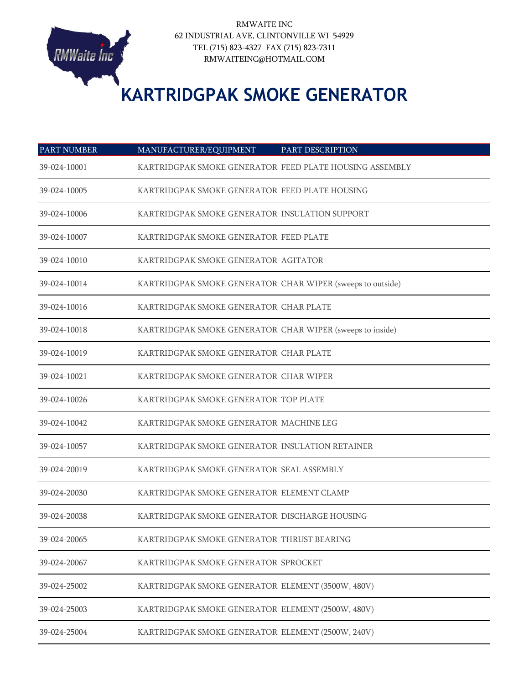

RMWAITE INC 62 INDUSTRIAL AVE, CLINTONVILLE WI 54929 TEL (715) 823-4327 FAX (715) 823-7311 RMWAITEINC@HOTMAIL.COM

## **KARTRIDGPAK SMOKE GENERATOR**

| <b>PART NUMBER</b> | MANUFACTURER/EQUIPMENT                                     | PART DESCRIPTION |
|--------------------|------------------------------------------------------------|------------------|
| 39-024-10001       | KARTRIDGPAK SMOKE GENERATOR FEED PLATE HOUSING ASSEMBLY    |                  |
| 39-024-10005       | KARTRIDGPAK SMOKE GENERATOR FEED PLATE HOUSING             |                  |
| 39-024-10006       | KARTRIDGPAK SMOKE GENERATOR INSULATION SUPPORT             |                  |
| 39-024-10007       | KARTRIDGPAK SMOKE GENERATOR FEED PLATE                     |                  |
| 39-024-10010       | KARTRIDGPAK SMOKE GENERATOR AGITATOR                       |                  |
| 39-024-10014       | KARTRIDGPAK SMOKE GENERATOR CHAR WIPER (sweeps to outside) |                  |
| 39-024-10016       | KARTRIDGPAK SMOKE GENERATOR CHAR PLATE                     |                  |
| 39-024-10018       | KARTRIDGPAK SMOKE GENERATOR CHAR WIPER (sweeps to inside)  |                  |
| 39-024-10019       | KARTRIDGPAK SMOKE GENERATOR CHAR PLATE                     |                  |
| 39-024-10021       | KARTRIDGPAK SMOKE GENERATOR CHAR WIPER                     |                  |
| 39-024-10026       | KARTRIDGPAK SMOKE GENERATOR TOP PLATE                      |                  |
| 39-024-10042       | KARTRIDGPAK SMOKE GENERATOR MACHINE LEG                    |                  |
| 39-024-10057       | KARTRIDGPAK SMOKE GENERATOR INSULATION RETAINER            |                  |
| 39-024-20019       | KARTRIDGPAK SMOKE GENERATOR SEAL ASSEMBLY                  |                  |
| 39-024-20030       | KARTRIDGPAK SMOKE GENERATOR ELEMENT CLAMP                  |                  |
| 39-024-20038       | KARTRIDGPAK SMOKE GENERATOR DISCHARGE HOUSING              |                  |
| 39-024-20065       | KARTRIDGPAK SMOKE GENERATOR THRUST BEARING                 |                  |
| 39-024-20067       | KARTRIDGPAK SMOKE GENERATOR SPROCKET                       |                  |
| 39-024-25002       | KARTRIDGPAK SMOKE GENERATOR ELEMENT (3500W, 480V)          |                  |
| 39-024-25003       | KARTRIDGPAK SMOKE GENERATOR ELEMENT (2500W, 480V)          |                  |
| 39-024-25004       | KARTRIDGPAK SMOKE GENERATOR ELEMENT (2500W, 240V)          |                  |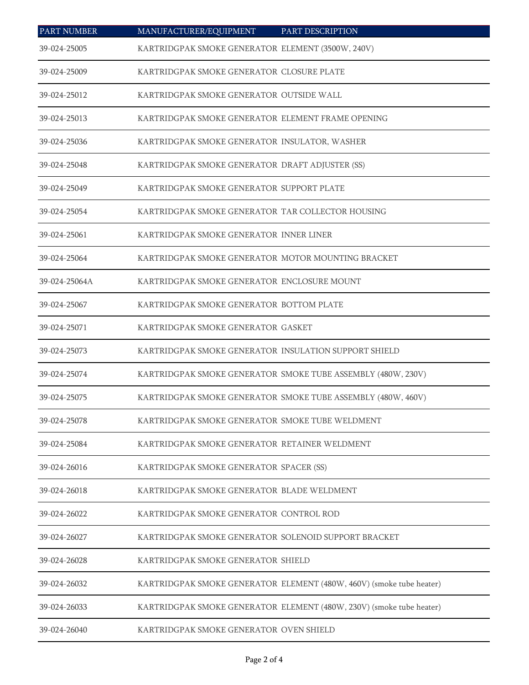| <b>PART NUMBER</b> | MANUFACTURER/EQUIPMENT                                | PART DESCRIPTION                                                     |
|--------------------|-------------------------------------------------------|----------------------------------------------------------------------|
| 39-024-25005       | KARTRIDGPAK SMOKE GENERATOR ELEMENT (3500W, 240V)     |                                                                      |
| 39-024-25009       | KARTRIDGPAK SMOKE GENERATOR CLOSURE PLATE             |                                                                      |
| 39-024-25012       | KARTRIDGPAK SMOKE GENERATOR OUTSIDE WALL              |                                                                      |
| 39-024-25013       | KARTRIDGPAK SMOKE GENERATOR ELEMENT FRAME OPENING     |                                                                      |
| 39-024-25036       | KARTRIDGPAK SMOKE GENERATOR INSULATOR, WASHER         |                                                                      |
| 39-024-25048       | KARTRIDGPAK SMOKE GENERATOR DRAFT ADJUSTER (SS)       |                                                                      |
| 39-024-25049       | KARTRIDGPAK SMOKE GENERATOR SUPPORT PLATE             |                                                                      |
| 39-024-25054       | KARTRIDGPAK SMOKE GENERATOR TAR COLLECTOR HOUSING     |                                                                      |
| 39-024-25061       | KARTRIDGPAK SMOKE GENERATOR INNER LINER               |                                                                      |
| 39-024-25064       | KARTRIDGPAK SMOKE GENERATOR MOTOR MOUNTING BRACKET    |                                                                      |
| 39-024-25064A      | KARTRIDGPAK SMOKE GENERATOR ENCLOSURE MOUNT           |                                                                      |
| 39-024-25067       | KARTRIDGPAK SMOKE GENERATOR BOTTOM PLATE              |                                                                      |
| 39-024-25071       | KARTRIDGPAK SMOKE GENERATOR GASKET                    |                                                                      |
| 39-024-25073       | KARTRIDGPAK SMOKE GENERATOR INSULATION SUPPORT SHIELD |                                                                      |
| 39-024-25074       |                                                       | KARTRIDGPAK SMOKE GENERATOR SMOKE TUBE ASSEMBLY (480W, 230V)         |
| 39-024-25075       |                                                       | KARTRIDGPAK SMOKE GENERATOR SMOKE TUBE ASSEMBLY (480W, 460V)         |
| 39-024-25078       | KARTRIDGPAK SMOKE GENERATOR SMOKE TUBE WELDMENT       |                                                                      |
| 39-024-25084       | KARTRIDGPAK SMOKE GENERATOR RETAINER WELDMENT         |                                                                      |
| 39-024-26016       | KARTRIDGPAK SMOKE GENERATOR SPACER (SS)               |                                                                      |
| 39-024-26018       | KARTRIDGPAK SMOKE GENERATOR BLADE WELDMENT            |                                                                      |
| 39-024-26022       | KARTRIDGPAK SMOKE GENERATOR CONTROL ROD               |                                                                      |
| 39-024-26027       | KARTRIDGPAK SMOKE GENERATOR SOLENOID SUPPORT BRACKET  |                                                                      |
| 39-024-26028       | KARTRIDGPAK SMOKE GENERATOR SHIELD                    |                                                                      |
| 39-024-26032       |                                                       | KARTRIDGPAK SMOKE GENERATOR ELEMENT (480W, 460V) (smoke tube heater) |
| 39-024-26033       |                                                       | KARTRIDGPAK SMOKE GENERATOR ELEMENT (480W, 230V) (smoke tube heater) |
| 39-024-26040       | KARTRIDGPAK SMOKE GENERATOR OVEN SHIELD               |                                                                      |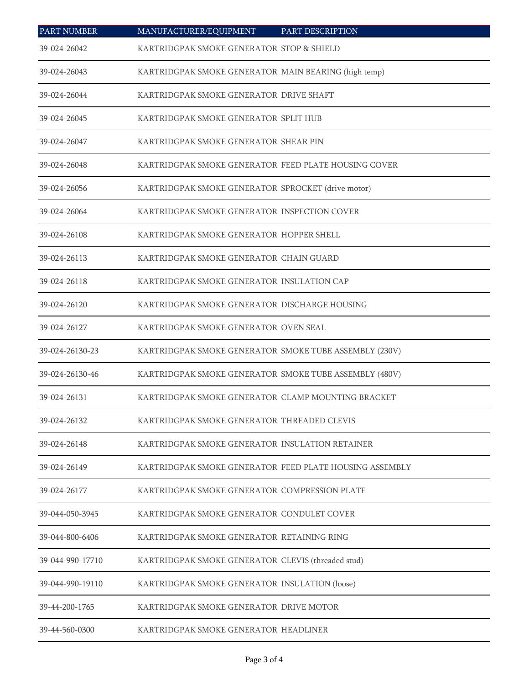| <b>PART NUMBER</b> | MANUFACTURER/EQUIPMENT                                  | PART DESCRIPTION |
|--------------------|---------------------------------------------------------|------------------|
| 39-024-26042       | KARTRIDGPAK SMOKE GENERATOR STOP & SHIELD               |                  |
| 39-024-26043       | KARTRIDGPAK SMOKE GENERATOR MAIN BEARING (high temp)    |                  |
| 39-024-26044       | KARTRIDGPAK SMOKE GENERATOR DRIVE SHAFT                 |                  |
| 39-024-26045       | KARTRIDGPAK SMOKE GENERATOR SPLIT HUB                   |                  |
| 39-024-26047       | KARTRIDGPAK SMOKE GENERATOR SHEAR PIN                   |                  |
| 39-024-26048       | KARTRIDGPAK SMOKE GENERATOR FEED PLATE HOUSING COVER    |                  |
| 39-024-26056       | KARTRIDGPAK SMOKE GENERATOR SPROCKET (drive motor)      |                  |
| 39-024-26064       | KARTRIDGPAK SMOKE GENERATOR INSPECTION COVER            |                  |
| 39-024-26108       | KARTRIDGPAK SMOKE GENERATOR HOPPER SHELL                |                  |
| 39-024-26113       | KARTRIDGPAK SMOKE GENERATOR CHAIN GUARD                 |                  |
| 39-024-26118       | KARTRIDGPAK SMOKE GENERATOR INSULATION CAP              |                  |
| 39-024-26120       | KARTRIDGPAK SMOKE GENERATOR DISCHARGE HOUSING           |                  |
| 39-024-26127       | KARTRIDGPAK SMOKE GENERATOR OVEN SEAL                   |                  |
| 39-024-26130-23    | KARTRIDGPAK SMOKE GENERATOR SMOKE TUBE ASSEMBLY (230V)  |                  |
| 39-024-26130-46    | KARTRIDGPAK SMOKE GENERATOR SMOKE TUBE ASSEMBLY (480V)  |                  |
| 39-024-26131       | KARTRIDGPAK SMOKE GENERATOR CLAMP MOUNTING BRACKET      |                  |
| 39-024-26132       | KARTRIDGPAK SMOKE GENERATOR THREADED CLEVIS             |                  |
| 39-024-26148       | KARTRIDGPAK SMOKE GENERATOR INSULATION RETAINER         |                  |
| 39-024-26149       | KARTRIDGPAK SMOKE GENERATOR FEED PLATE HOUSING ASSEMBLY |                  |
| 39-024-26177       | KARTRIDGPAK SMOKE GENERATOR COMPRESSION PLATE           |                  |
| 39-044-050-3945    | KARTRIDGPAK SMOKE GENERATOR CONDULET COVER              |                  |
| 39-044-800-6406    | KARTRIDGPAK SMOKE GENERATOR RETAINING RING              |                  |
| 39-044-990-17710   | KARTRIDGPAK SMOKE GENERATOR CLEVIS (threaded stud)      |                  |
| 39-044-990-19110   | KARTRIDGPAK SMOKE GENERATOR INSULATION (loose)          |                  |
| 39-44-200-1765     | KARTRIDGPAK SMOKE GENERATOR DRIVE MOTOR                 |                  |
| 39-44-560-0300     | KARTRIDGPAK SMOKE GENERATOR HEADLINER                   |                  |